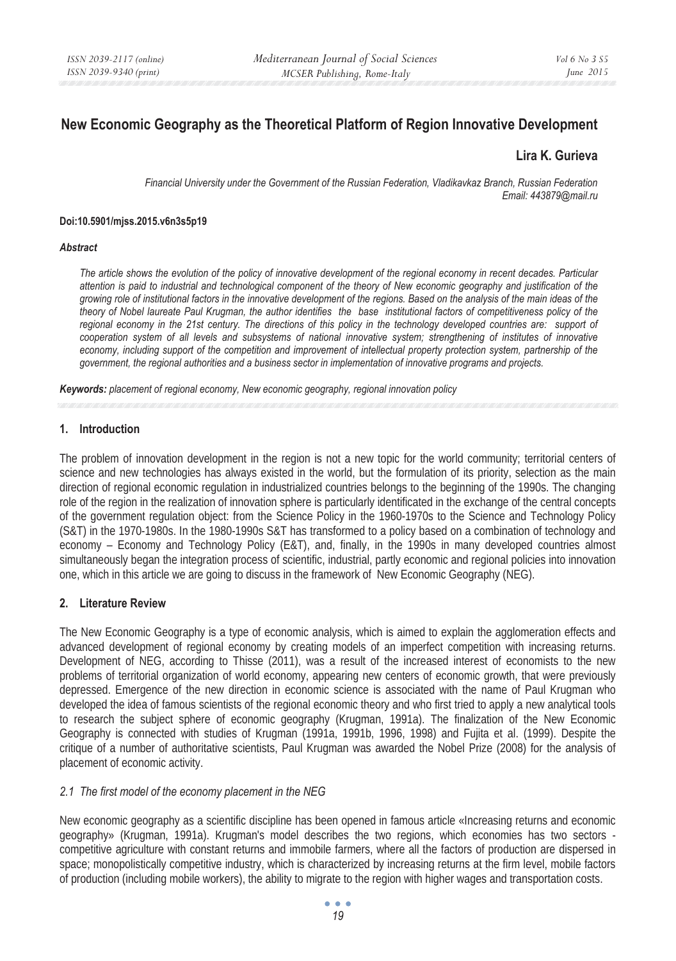# **New Economic Geography as the Theoretical Platform of Region Innovative Development**

# **Lira K. Gurieva**

*Financial University under the Government of the Russian Federation, Vladikavkaz Branch, Russian Federation Email: 443879@mail.ru* 

#### **Doi:10.5901/mjss.2015.v6n3s5p19**

#### *Abstract*

*The article shows the evolution of the policy of innovative development of the regional economy in recent decades. Particular attention is paid to industrial and technological component of the theory of New economic geography and justification of the growing role of institutional factors in the innovative development of the regions. Based on the analysis of the main ideas of the theory of Nobel laureate Paul Krugman, the author identifies the base institutional factors of competitiveness policy of the* regional economy in the 21st century. The directions of this policy in the technology developed countries are: support of *cooperation system of all levels and subsystems of national innovative system; strengthening of institutes of innovative economy, including support of the competition and improvement of intellectual property protection system, partnership of the government, the regional authorities and a business sector in implementation of innovative programs and projects.* 

*Keywords: placement of regional economy, New economic geography, regional innovation policy*

# **1. Introduction**

The problem of innovation development in the region is not a new topic for the world community; territorial centers of science and new technologies has always existed in the world, but the formulation of its priority, selection as the main direction of regional economic regulation in industrialized countries belongs to the beginning of the 1990s. The changing role of the region in the realization of innovation sphere is particularly identificated in the exchange of the central concepts of the government regulation object: from the Science Policy in the 1960-1970s to the Science and Technology Policy (S&T) in the 1970-1980s. In the 1980-1990s S&T has transformed to a policy based on a combination of technology and economy – Economy and Technology Policy (E&T), and, finally, in the 1990s in many developed countries almost simultaneously began the integration process of scientific, industrial, partly economic and regional policies into innovation one, which in this article we are going to discuss in the framework of New Economic Geography (NEG).

# **2. Literature Review**

The New Economic Geography is a type of economic analysis, which is aimed to explain the agglomeration effects and advanced development of regional economy by creating models of an imperfect competition with increasing returns. Development of NEG, according to Thisse (2011), was a result of the increased interest of economists to the new problems of territorial organization of world economy, appearing new centers of economic growth, that were previously depressed. Emergence of the new direction in economic science is associated with the name of Paul Krugman who developed the idea of famous scientists of the regional economic theory and who first tried to apply a new analytical tools to research the subject sphere of economic geography (Krugman, 1991a). The finalization of the New Economic Geography is connected with studies of Krugman (1991a, 1991b, 1996, 1998) and Fujita et al. (1999). Despite the critique of a number of authoritative scientists, Paul Krugman was awarded the Nobel Prize (2008) for the analysis of placement of economic activity.

# *2.1 The first model of the economy placement in the NEG*

New economic geography as a scientific discipline has been opened in famous article «Increasing returns and economic geography» (Krugman, 1991a). Krugman's model describes the two regions, which economies has two sectors competitive agriculture with constant returns and immobile farmers, where all the factors of production are dispersed in space; monopolistically competitive industry, which is characterized by increasing returns at the firm level, mobile factors of production (including mobile workers), the ability to migrate to the region with higher wages and transportation costs.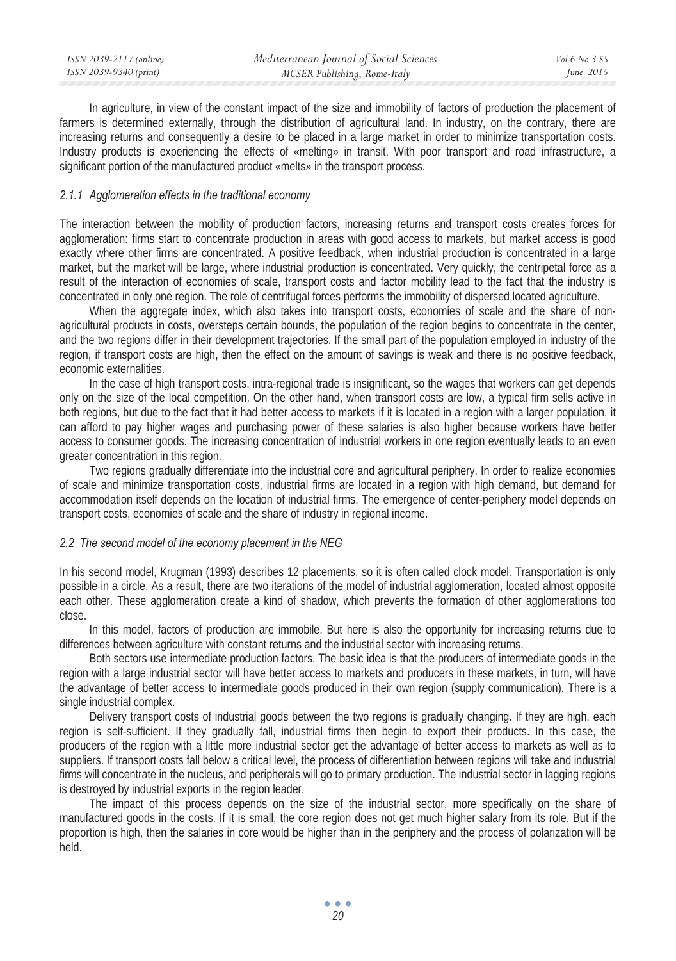| ISSN 2039-2117 (online) | Mediterranean Journal of Social Sciences | Vol 6 No 3 S5 |
|-------------------------|------------------------------------------|---------------|
| ISSN 2039-9340 (print)  | MCSER Publishing, Rome-Italy             | June 2015     |
|                         |                                          |               |

In agriculture, in view of the constant impact of the size and immobility of factors of production the placement of farmers is determined externally, through the distribution of agricultural land. In industry, on the contrary, there are increasing returns and consequently a desire to be placed in a large market in order to minimize transportation costs. Industry products is experiencing the effects of «melting» in transit. With poor transport and road infrastructure, a significant portion of the manufactured product «melts» in the transport process.

#### *2.1.1 Agglomeration effects in the traditional economy*

The interaction between the mobility of production factors, increasing returns and transport costs creates forces for agglomeration: firms start to concentrate production in areas with good access to markets, but market access is good exactly where other firms are concentrated. A positive feedback, when industrial production is concentrated in a large market, but the market will be large, where industrial production is concentrated. Very quickly, the centripetal force as a result of the interaction of economies of scale, transport costs and factor mobility lead to the fact that the industry is concentrated in only one region. The role of centrifugal forces performs the immobility of dispersed located agriculture.

When the aggregate index, which also takes into transport costs, economies of scale and the share of nonagricultural products in costs, oversteps certain bounds, the population of the region begins to concentrate in the center, and the two regions differ in their development trajectories. If the small part of the population employed in industry of the region, if transport costs are high, then the effect on the amount of savings is weak and there is no positive feedback, economic externalities.

In the case of high transport costs, intra-regional trade is insignificant, so the wages that workers can get depends only on the size of the local competition. On the other hand, when transport costs are low, a typical firm sells active in both regions, but due to the fact that it had better access to markets if it is located in a region with a larger population, it can afford to pay higher wages and purchasing power of these salaries is also higher because workers have better access to consumer goods. The increasing concentration of industrial workers in one region eventually leads to an even greater concentration in this region.

Two regions gradually differentiate into the industrial core and agricultural periphery. In order to realize economies of scale and minimize transportation costs, industrial firms are located in a region with high demand, but demand for accommodation itself depends on the location of industrial firms. The emergence of center-periphery model depends on transport costs, economies of scale and the share of industry in regional income.

# *2.2 The second model of the economy placement in the NEG*

In his second model, Krugman (1993) describes 12 placements, so it is often called clock model. Transportation is only possible in a circle. As a result, there are two iterations of the model of industrial agglomeration, located almost opposite each other. These agglomeration create a kind of shadow, which prevents the formation of other agglomerations too close.

In this model, factors of production are immobile. But here is also the opportunity for increasing returns due to differences between agriculture with constant returns and the industrial sector with increasing returns.

Both sectors use intermediate production factors. The basic idea is that the producers of intermediate goods in the region with a large industrial sector will have better access to markets and producers in these markets, in turn, will have the advantage of better access to intermediate goods produced in their own region (supply communication). There is a single industrial complex.

Delivery transport costs of industrial goods between the two regions is gradually changing. If they are high, each region is self-sufficient. If they gradually fall, industrial firms then begin to export their products. In this case, the producers of the region with a little more industrial sector get the advantage of better access to markets as well as to suppliers. If transport costs fall below a critical level, the process of differentiation between regions will take and industrial firms will concentrate in the nucleus, and peripherals will go to primary production. The industrial sector in lagging regions is destroyed by industrial exports in the region leader.

The impact of this process depends on the size of the industrial sector, more specifically on the share of manufactured goods in the costs. If it is small, the core region does not get much higher salary from its role. But if the proportion is high, then the salaries in core would be higher than in the periphery and the process of polarization will be held.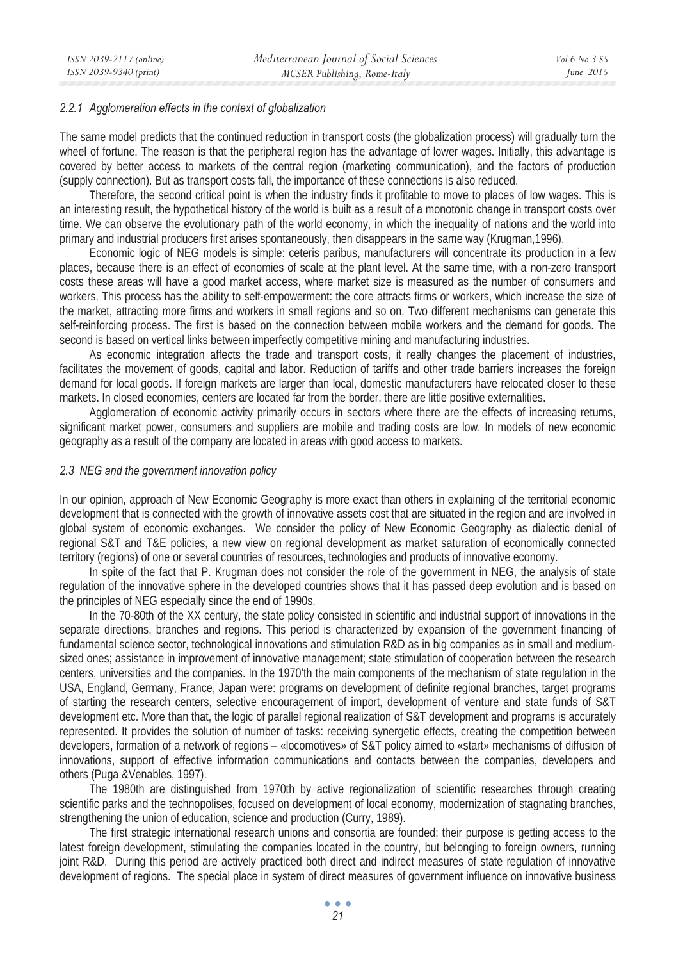### *2.2.1 Agglomeration effects in the context of globalization*

The same model predicts that the continued reduction in transport costs (the globalization process) will gradually turn the wheel of fortune. The reason is that the peripheral region has the advantage of lower wages. Initially, this advantage is covered by better access to markets of the central region (marketing communication), and the factors of production (supply connection). But as transport costs fall, the importance of these connections is also reduced.

Therefore, the second critical point is when the industry finds it profitable to move to places of low wages. This is an interesting result, the hypothetical history of the world is built as a result of a monotonic change in transport costs over time. We can observe the evolutionary path of the world economy, in which the inequality of nations and the world into primary and industrial producers first arises spontaneously, then disappears in the same way (Krugman,1996).

Economic logic of NEG models is simple: ceteris paribus, manufacturers will concentrate its production in a few places, because there is an effect of economies of scale at the plant level. At the same time, with a non-zero transport costs these areas will have a good market access, where market size is measured as the number of consumers and workers. This process has the ability to self-empowerment: the core attracts firms or workers, which increase the size of the market, attracting more firms and workers in small regions and so on. Two different mechanisms can generate this self-reinforcing process. The first is based on the connection between mobile workers and the demand for goods. The second is based on vertical links between imperfectly competitive mining and manufacturing industries.

As economic integration affects the trade and transport costs, it really changes the placement of industries, facilitates the movement of goods, capital and labor. Reduction of tariffs and other trade barriers increases the foreign demand for local goods. If foreign markets are larger than local, domestic manufacturers have relocated closer to these markets. In closed economies, centers are located far from the border, there are little positive externalities.

Agglomeration of economic activity primarily occurs in sectors where there are the effects of increasing returns, significant market power, consumers and suppliers are mobile and trading costs are low. In models of new economic geography as a result of the company are located in areas with good access to markets.

#### *2.3 NEG and the government innovation policy*

In our opinion, approach of New Economic Geography is more exact than others in explaining of the territorial economic development that is connected with the growth of innovative assets cost that are situated in the region and are involved in global system of economic exchanges. We consider the policy of New Economic Geography as dialectic denial of regional S&T and T&E policies, a new view on regional development as market saturation of economically connected territory (regions) of one or several countries of resources, technologies and products of innovative economy.

In spite of the fact that P. Krugman does not consider the role of the government in NEG, the analysis of state regulation of the innovative sphere in the developed countries shows that it has passed deep evolution and is based on the principles of NEG especially since the end of 1990s.

In the 70-80th of the XX century, the state policy consisted in scientific and industrial support of innovations in the separate directions, branches and regions. This period is characterized by expansion of the government financing of fundamental science sector, technological innovations and stimulation R&D as in big companies as in small and mediumsized ones; assistance in improvement of innovative management; state stimulation of cooperation between the research centers, universities and the companies. In the 1970'th the main components of the mechanism of state regulation in the USA, England, Germany, France, Japan were: programs on development of definite regional branches, target programs of starting the research centers, selective encouragement of import, development of venture and state funds of S&T development etc. More than that, the logic of parallel regional realization of S&T development and programs is accurately represented. It provides the solution of number of tasks: receiving synergetic effects, creating the competition between developers, formation of a network of regions – «locomotives» of S&T policy aimed to «start» mechanisms of diffusion of innovations, support of effective information communications and contacts between the companies, developers and others (Puga &Venables, 1997).

The 1980th are distinguished from 1970th by active regionalization of scientific researches through creating scientific parks and the technopolises, focused on development of local economy, modernization of stagnating branches, strengthening the union of education, science and production (Curry, 1989).

The first strategic international research unions and consortia are founded; their purpose is getting access to the latest foreign development, stimulating the companies located in the country, but belonging to foreign owners, running joint R&D. During this period are actively practiced both direct and indirect measures of state regulation of innovative development of regions. The special place in system of direct measures of government influence on innovative business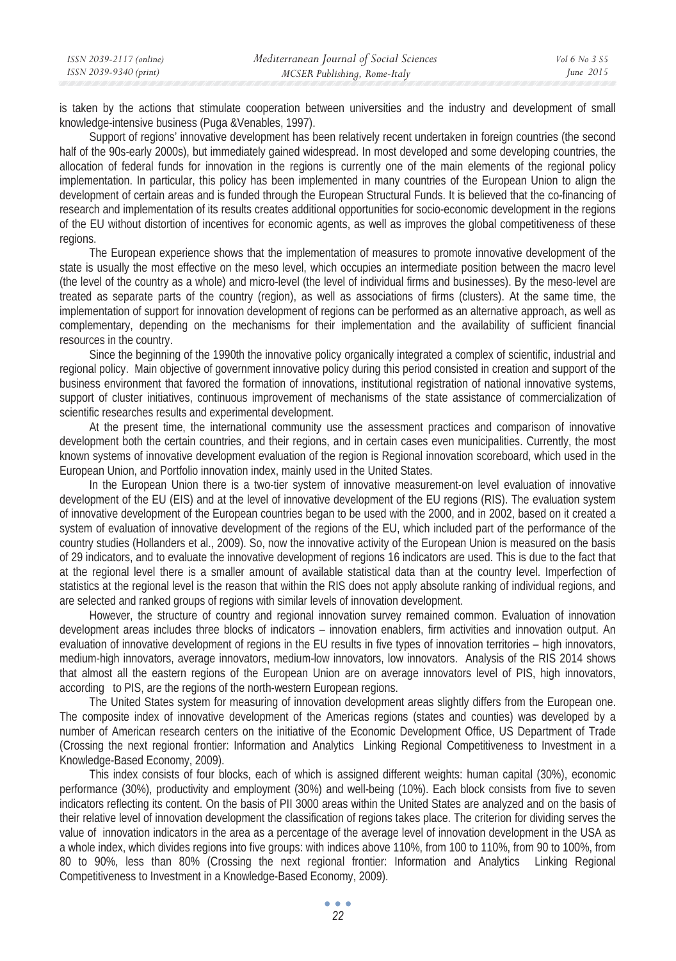is taken by the actions that stimulate cooperation between universities and the industry and development of small knowledge-intensive business (Puga &Venables, 1997).

Support of regions' innovative development has been relatively recent undertaken in foreign countries (the second half of the 90s-early 2000s), but immediately gained widespread. In most developed and some developing countries, the allocation of federal funds for innovation in the regions is currently one of the main elements of the regional policy implementation. In particular, this policy has been implemented in many countries of the European Union to align the development of certain areas and is funded through the European Structural Funds. It is believed that the co-financing of research and implementation of its results creates additional opportunities for socio-economic development in the regions of the EU without distortion of incentives for economic agents, as well as improves the global competitiveness of these regions.

The European experience shows that the implementation of measures to promote innovative development of the state is usually the most effective on the meso level, which occupies an intermediate position between the macro level (the level of the country as a whole) and micro-level (the level of individual firms and businesses). By the meso-level are treated as separate parts of the country (region), as well as associations of firms (clusters). At the same time, the implementation of support for innovation development of regions can be performed as an alternative approach, as well as complementary, depending on the mechanisms for their implementation and the availability of sufficient financial resources in the country.

Since the beginning of the 1990th the innovative policy organically integrated a complex of scientific, industrial and regional policy. Main objective of government innovative policy during this period consisted in creation and support of the business environment that favored the formation of innovations, institutional registration of national innovative systems, support of cluster initiatives, continuous improvement of mechanisms of the state assistance of commercialization of scientific researches results and experimental development.

At the present time, the international community use the assessment practices and comparison of innovative development both the certain countries, and their regions, and in certain cases even municipalities. Currently, the most known systems of innovative development evaluation of the region is Regional innovation scoreboard, which used in the European Union, and Portfolio innovation index, mainly used in the United States.

In the European Union there is a two-tier system of innovative measurement-on level evaluation of innovative development of the EU (EIS) and at the level of innovative development of the EU regions (RIS). The evaluation system of innovative development of the European countries began to be used with the 2000, and in 2002, based on it created a system of evaluation of innovative development of the regions of the EU, which included part of the performance of the country studies (Hollanders et al., 2009). So, now the innovative activity of the European Union is measured on the basis of 29 indicators, and to evaluate the innovative development of regions 16 indicators are used. This is due to the fact that at the regional level there is a smaller amount of available statistical data than at the country level. Imperfection of statistics at the regional level is the reason that within the RIS does not apply absolute ranking of individual regions, and are selected and ranked groups of regions with similar levels of innovation development.

However, the structure of country and regional innovation survey remained common. Evaluation of innovation development areas includes three blocks of indicators – innovation enablers, firm activities and innovation output. An evaluation of innovative development of regions in the EU results in five types of innovation territories – high innovators, medium-high innovators, average innovators, medium-low innovators, low innovators. Analysis of the RIS 2014 shows that almost all the eastern regions of the European Union are on average innovators level of PIS, high innovators, according to PIS, are the regions of the north-western European regions.

The United States system for measuring of innovation development areas slightly differs from the European one. The composite index of innovative development of the Americas regions (states and counties) was developed by a number of American research centers on the initiative of the Economic Development Office, US Department of Trade (Crossing the next regional frontier: Information and Analytics Linking Regional Competitiveness to Investment in a Knowledge-Based Economy, 2009).

This index consists of four blocks, each of which is assigned different weights: human capital (30%), economic performance (30%), productivity and employment (30%) and well-being (10%). Each block consists from five to seven indicators reflecting its content. On the basis of PII 3000 areas within the United States are analyzed and on the basis of their relative level of innovation development the classification of regions takes place. The criterion for dividing serves the value of innovation indicators in the area as a percentage of the average level of innovation development in the USA as a whole index, which divides regions into five groups: with indices above 110%, from 100 to 110%, from 90 to 100%, from 80 to 90%, less than 80% (Crossing the next regional frontier: Information and Analytics Linking Regional Competitiveness to Investment in a Knowledge-Based Economy, 2009).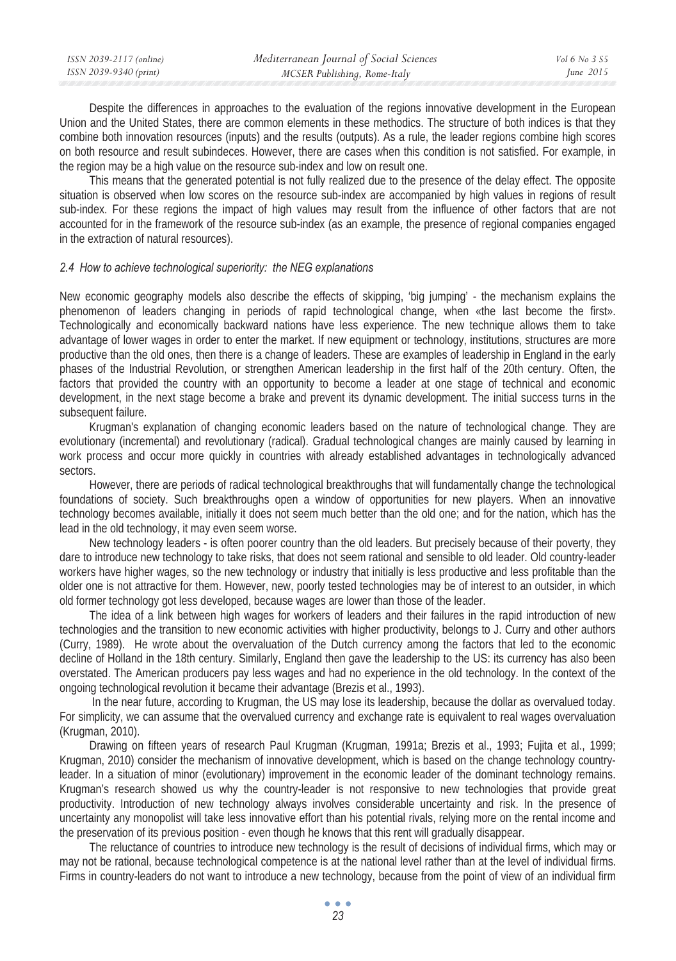| ISSN 2039-2117 (online) | Mediterranean Journal of Social Sciences | Vol 6 No 3 S5 |
|-------------------------|------------------------------------------|---------------|
| ISSN 2039-9340 (print)  | MCSER Publishing, Rome-Italy             | June 2015     |

Despite the differences in approaches to the evaluation of the regions innovative development in the European Union and the United States, there are common elements in these methodics. The structure of both indices is that they combine both innovation resources (inputs) and the results (outputs). As a rule, the leader regions combine high scores on both resource and result subindeces. However, there are cases when this condition is not satisfied. For example, in the region may be a high value on the resource sub-index and low on result one.

This means that the generated potential is not fully realized due to the presence of the delay effect. The opposite situation is observed when low scores on the resource sub-index are accompanied by high values in regions of result sub-index. For these regions the impact of high values may result from the influence of other factors that are not accounted for in the framework of the resource sub-index (as an example, the presence of regional companies engaged in the extraction of natural resources).

#### *2.4 How to achieve technological superiority: the NEG explanations*

New economic geography models also describe the effects of skipping, 'big jumping' - the mechanism explains the phenomenon of leaders changing in periods of rapid technological change, when «the last become the first». Technologically and economically backward nations have less experience. The new technique allows them to take advantage of lower wages in order to enter the market. If new equipment or technology, institutions, structures are more productive than the old ones, then there is a change of leaders. These are examples of leadership in England in the early phases of the Industrial Revolution, or strengthen American leadership in the first half of the 20th century. Often, the factors that provided the country with an opportunity to become a leader at one stage of technical and economic development, in the next stage become a brake and prevent its dynamic development. The initial success turns in the subsequent failure.

Krugman's explanation of changing economic leaders based on the nature of technological change. They are evolutionary (incremental) and revolutionary (radical). Gradual technological changes are mainly caused by learning in work process and occur more quickly in countries with already established advantages in technologically advanced sectors.

However, there are periods of radical technological breakthroughs that will fundamentally change the technological foundations of society. Such breakthroughs open a window of opportunities for new players. When an innovative technology becomes available, initially it does not seem much better than the old one; and for the nation, which has the lead in the old technology, it may even seem worse.

New technology leaders - is often poorer country than the old leaders. But precisely because of their poverty, they dare to introduce new technology to take risks, that does not seem rational and sensible to old leader. Old country-leader workers have higher wages, so the new technology or industry that initially is less productive and less profitable than the older one is not attractive for them. However, new, poorly tested technologies may be of interest to an outsider, in which old former technology got less developed, because wages are lower than those of the leader.

The idea of a link between high wages for workers of leaders and their failures in the rapid introduction of new technologies and the transition to new economic activities with higher productivity, belongs to J. Curry and other authors (Curry, 1989). He wrote about the overvaluation of the Dutch currency among the factors that led to the economic decline of Holland in the 18th century. Similarly, England then gave the leadership to the US: its currency has also been overstated. The American producers pay less wages and had no experience in the old technology. In the context of the ongoing technological revolution it became their advantage (Brezis et al., 1993).

 In the near future, according to Krugman, the US may lose its leadership, because the dollar as overvalued today. For simplicity, we can assume that the overvalued currency and exchange rate is equivalent to real wages overvaluation (Krugman, 2010).

Drawing on fifteen years of research Paul Krugman (Krugman, 1991a; Brezis et al., 1993; Fujita et al., 1999; Krugman, 2010) consider the mechanism of innovative development, which is based on the change technology countryleader. In a situation of minor (evolutionary) improvement in the economic leader of the dominant technology remains. Krugman's research showed us why the country-leader is not responsive to new technologies that provide great productivity. Introduction of new technology always involves considerable uncertainty and risk. In the presence of uncertainty any monopolist will take less innovative effort than his potential rivals, relying more on the rental income and the preservation of its previous position - even though he knows that this rent will gradually disappear.

The reluctance of countries to introduce new technology is the result of decisions of individual firms, which may or may not be rational, because technological competence is at the national level rather than at the level of individual firms. Firms in country-leaders do not want to introduce a new technology, because from the point of view of an individual firm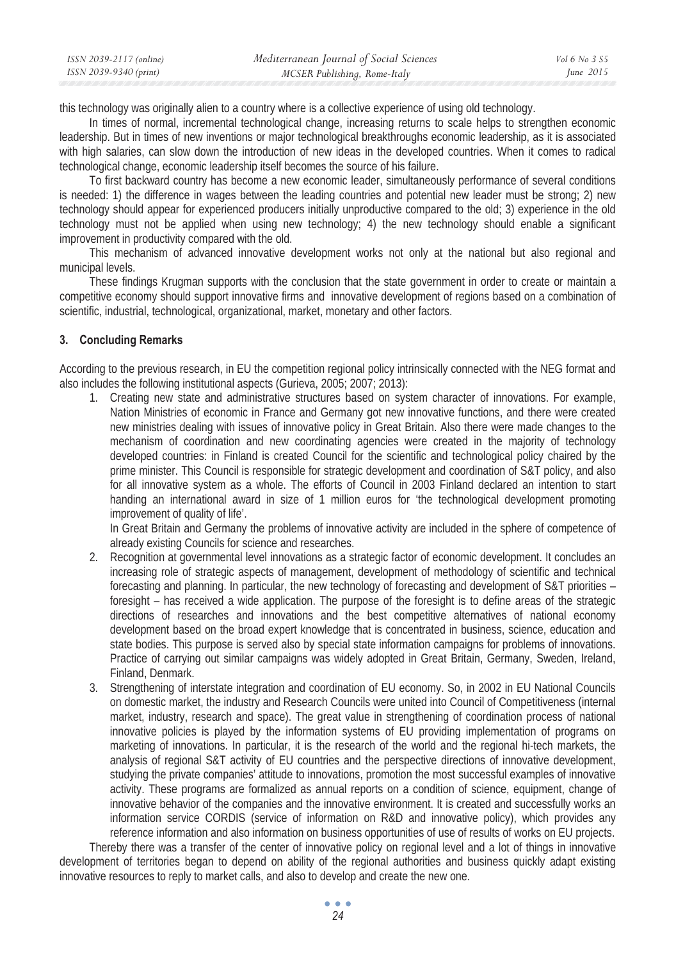| ISSN 2039-2117 (online) | Mediterranean Journal of Social Sciences | Vol 6 No. 3 S5 |
|-------------------------|------------------------------------------|----------------|
| ISSN 2039-9340 (print)  | MCSER Publishing, Rome-Italy             | June $2015$    |

this technology was originally alien to a country where is a collective experience of using old technology.

In times of normal, incremental technological change, increasing returns to scale helps to strengthen economic leadership. But in times of new inventions or major technological breakthroughs economic leadership, as it is associated with high salaries, can slow down the introduction of new ideas in the developed countries. When it comes to radical technological change, economic leadership itself becomes the source of his failure.

To first backward country has become a new economic leader, simultaneously performance of several conditions is needed: 1) the difference in wages between the leading countries and potential new leader must be strong; 2) new technology should appear for experienced producers initially unproductive compared to the old; 3) experience in the old technology must not be applied when using new technology; 4) the new technology should enable a significant improvement in productivity compared with the old.

This mechanism of advanced innovative development works not only at the national but also regional and municipal levels.

These findings Krugman supports with the conclusion that the state government in order to create or maintain a competitive economy should support innovative firms and innovative development of regions based on a combination of scientific, industrial, technological, organizational, market, monetary and other factors.

# **3. Concluding Remarks**

According to the previous research, in EU the competition regional policy intrinsically connected with the NEG format and also includes the following institutional aspects (Gurieva, 2005; 2007; 2013):

1. Creating new state and administrative structures based on system character of innovations. For example, Nation Ministries of economic in France and Germany got new innovative functions, and there were created new ministries dealing with issues of innovative policy in Great Britain. Also there were made changes to the mechanism of coordination and new coordinating agencies were created in the majority of technology developed countries: in Finland is created Council for the scientific and technological policy chaired by the prime minister. This Council is responsible for strategic development and coordination of S&T policy, and also for all innovative system as a whole. The efforts of Council in 2003 Finland declared an intention to start handing an international award in size of 1 million euros for 'the technological development promoting improvement of quality of life'.

In Great Britain and Germany the problems of innovative activity are included in the sphere of competence of already existing Councils for science and researches.

- 2. Recognition at governmental level innovations as a strategic factor of economic development. It concludes an increasing role of strategic aspects of management, development of methodology of scientific and technical forecasting and planning. In particular, the new technology of forecasting and development of S&T priorities – foresight – has received a wide application. The purpose of the foresight is to define areas of the strategic directions of researches and innovations and the best competitive alternatives of national economy development based on the broad expert knowledge that is concentrated in business, science, education and state bodies. This purpose is served also by special state information campaigns for problems of innovations. Practice of carrying out similar campaigns was widely adopted in Great Britain, Germany, Sweden, Ireland, Finland, Denmark.
- 3. Strengthening of interstate integration and coordination of EU economy. So, in 2002 in EU National Councils on domestic market, the industry and Research Councils were united into Council of Competitiveness (internal market, industry, research and space). The great value in strengthening of coordination process of national innovative policies is played by the information systems of EU providing implementation of programs on marketing of innovations. In particular, it is the research of the world and the regional hi-tech markets, the analysis of regional S&T activity of EU countries and the perspective directions of innovative development, studying the private companies' attitude to innovations, promotion the most successful examples of innovative activity. These programs are formalized as annual reports on a condition of science, equipment, change of innovative behavior of the companies and the innovative environment. It is created and successfully works an information service CORDIS (service of information on R&D and innovative policy), which provides any reference information and also information on business opportunities of use of results of works on EU projects.

Thereby there was a transfer of the center of innovative policy on regional level and a lot of things in innovative development of territories began to depend on ability of the regional authorities and business quickly adapt existing innovative resources to reply to market calls, and also to develop and create the new one.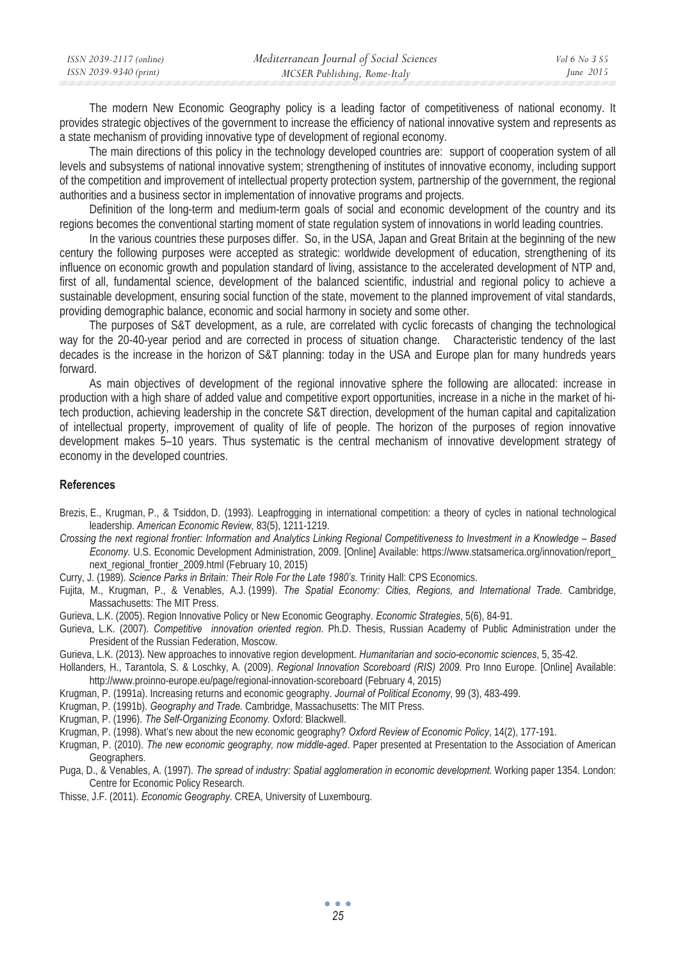| ISSN 2039-2117 (online) | Mediterranean Journal of Social Sciences | Vol 6 No 3 S5 |
|-------------------------|------------------------------------------|---------------|
| ISSN 2039-9340 (print)  | MCSER Publishing, Rome-Italy             | June $2015$   |
|                         |                                          |               |

The modern New Economic Geography policy is a leading factor of competitiveness of national economy. It provides strategic objectives of the government to increase the efficiency of national innovative system and represents as a state mechanism of providing innovative type of development of regional economy.

The main directions of this policy in the technology developed countries are: support of cooperation system of all levels and subsystems of national innovative system; strengthening of institutes of innovative economy, including support of the competition and improvement of intellectual property protection system, partnership of the government, the regional authorities and a business sector in implementation of innovative programs and projects.

Definition of the long-term and medium-term goals of social and economic development of the country and its regions becomes the conventional starting moment of state regulation system of innovations in world leading countries.

In the various countries these purposes differ. So, in the USA, Japan and Great Britain at the beginning of the new century the following purposes were accepted as strategic: worldwide development of education, strengthening of its influence on economic growth and population standard of living, assistance to the accelerated development of NTP and, first of all, fundamental science, development of the balanced scientific, industrial and regional policy to achieve a sustainable development, ensuring social function of the state, movement to the planned improvement of vital standards, providing demographic balance, economic and social harmony in society and some other.

The purposes of S&T development, as a rule, are correlated with cyclic forecasts of changing the technological way for the 20-40-year period and are corrected in process of situation change. Characteristic tendency of the last decades is the increase in the horizon of S&T planning: today in the USA and Europe plan for many hundreds years forward.

As main objectives of development of the regional innovative sphere the following are allocated: increase in production with a high share of added value and competitive export opportunities, increase in a niche in the market of hitech production, achieving leadership in the concrete S&T direction, development of the human capital and capitalization of intellectual property, improvement of quality of life of people. The horizon of the purposes of region innovative development makes 5–10 years. Thus systematic is the central mechanism of innovative development strategy of economy in the developed countries.

#### **References**

- Brezis, E., Krugman, P., & Tsiddon, D. (1993). Leapfrogging in international competition: a theory of cycles in national technological leadership. *American Economic Review,* 83(5), 1211-1219.
- *Crossing the next regional frontier: Information and Analytics Linking Regional Competitiveness to Investment in a Knowledge Based Economy.* U.S. Economic Development Administration, 2009. [Online] Available: https://www.statsamerica.org/innovation/report\_ next\_regional\_frontier\_2009.html (February 10, 2015)
- Curry, J. (1989). *Science Parks in Britain: Their Role For the Late 1980's.* Trinity Hall: CPS Economics.
- Fujita, M., Krugman, P., & Venables, A.J. (1999). *The Spatial Economy: Cities, Regions, and International Trade.* Cambridge, Massachusetts: The MIT Press.

Gurieva, L.K. (2005). Region Innovative Policy or New Economic Geography. *Economic Strategies*, 5(6), 84-91.

- Gurieva, L.K. (2007). *Competitive innovation oriented region*. Ph.D. Thesis, Russian Academy of Public Administration under the President of the Russian Federation, Moscow.
- Gurieva, L.K. (2013). New approaches to innovative region development. *Humanitarian and socio-economic sciences*, 5, 35-42.
- Hollanders, H., Tarantola, S. & Loschky, A. (2009). *Regional Innovation Scoreboard (RIS) 2009.* Pro Inno Europe. [Online] Available: http://www.proinno-europe.eu/page/regional-innovation-scoreboard (February 4, 2015)
- Krugman, P. (1991a). Increasing returns and economic geography. *Journal of Political Economy*, 99 (3), 483-499.
- Krugman, P. (1991b). *Geography and Trade.* Cambridge, Massachusetts: The MIT Press.
- Krugman, P. (1996). *The Self-Organizing Economy.* Oxford: Blackwell.
- Krugman, P. (1998). What's new about the new economic geography? *Oxford Review of Economic Policy*, 14(2), 177-191.
- Krugman, P. (2010). *The new economic geography, now middle-aged*. Paper presented at Presentation to the Association of American Geographers.
- Puga, D., & Venables, A. (1997). *The spread of industry: Spatial agglomeration in economic development*. Working paper 1354*.* London: Centre for Economic Policy Research.
- Thisse, J.F. (2011). *Economic Geography.* CREA, University of Luxembourg.

*25*